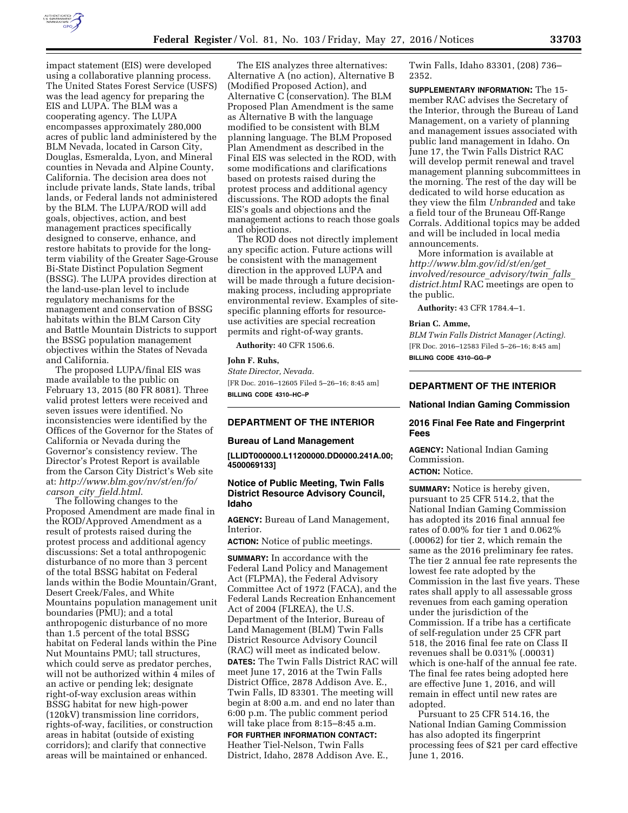

impact statement (EIS) were developed using a collaborative planning process. The United States Forest Service (USFS) was the lead agency for preparing the EIS and LUPA. The BLM was a cooperating agency. The LUPA encompasses approximately 280,000 acres of public land administered by the BLM Nevada, located in Carson City, Douglas, Esmeralda, Lyon, and Mineral counties in Nevada and Alpine County, California. The decision area does not include private lands, State lands, tribal lands, or Federal lands not administered by the BLM. The LUPA/ROD will add goals, objectives, action, and best management practices specifically designed to conserve, enhance, and restore habitats to provide for the longterm viability of the Greater Sage-Grouse Bi-State Distinct Population Segment (BSSG). The LUPA provides direction at the land-use-plan level to include regulatory mechanisms for the management and conservation of BSSG habitats within the BLM Carson City and Battle Mountain Districts to support the BSSG population management objectives within the States of Nevada and California.

The proposed LUPA/final EIS was made available to the public on February 13, 2015 (80 FR 8081). Three valid protest letters were received and seven issues were identified. No inconsistencies were identified by the Offices of the Governor for the States of California or Nevada during the Governor's consistency review. The Director's Protest Report is available from the Carson City District's Web site at: *[http://www.blm.gov/nv/st/en/fo/](http://www.blm.gov/nv/st/en/fo/carson_city_field.html) carson*\_*city*\_*[field.html](http://www.blm.gov/nv/st/en/fo/carson_city_field.html)*.

The following changes to the Proposed Amendment are made final in the ROD/Approved Amendment as a result of protests raised during the protest process and additional agency discussions: Set a total anthropogenic disturbance of no more than 3 percent of the total BSSG habitat on Federal lands within the Bodie Mountain/Grant, Desert Creek/Fales, and White Mountains population management unit boundaries (PMU); and a total anthropogenic disturbance of no more than 1.5 percent of the total BSSG habitat on Federal lands within the Pine Nut Mountains PMU; tall structures, which could serve as predator perches, will not be authorized within 4 miles of an active or pending lek; designate right-of-way exclusion areas within BSSG habitat for new high-power (120kV) transmission line corridors, rights-of-way, facilities, or construction areas in habitat (outside of existing corridors); and clarify that connective areas will be maintained or enhanced.

The EIS analyzes three alternatives: Alternative A (no action), Alternative B (Modified Proposed Action), and Alternative C (conservation). The BLM Proposed Plan Amendment is the same as Alternative B with the language modified to be consistent with BLM planning language. The BLM Proposed Plan Amendment as described in the Final EIS was selected in the ROD, with some modifications and clarifications based on protests raised during the protest process and additional agency discussions. The ROD adopts the final EIS's goals and objections and the management actions to reach those goals and objections.

The ROD does not directly implement any specific action. Future actions will be consistent with the management direction in the approved LUPA and will be made through a future decisionmaking process, including appropriate environmental review. Examples of sitespecific planning efforts for resourceuse activities are special recreation permits and right-of-way grants.

**Authority:** 40 CFR 1506.6.

### **John F. Ruhs,**

*State Director, Nevada.*  [FR Doc. 2016–12605 Filed 5–26–16; 8:45 am] **BILLING CODE 4310–HC–P** 

# **DEPARTMENT OF THE INTERIOR**

## **Bureau of Land Management**

**[LLIDT000000.L11200000.DD0000.241A.00; 4500069133]** 

## **Notice of Public Meeting, Twin Falls District Resource Advisory Council, Idaho**

**AGENCY:** Bureau of Land Management, Interior.

**ACTION:** Notice of public meetings.

**SUMMARY:** In accordance with the Federal Land Policy and Management Act (FLPMA), the Federal Advisory Committee Act of 1972 (FACA), and the Federal Lands Recreation Enhancement Act of 2004 (FLREA), the U.S. Department of the Interior, Bureau of Land Management (BLM) Twin Falls District Resource Advisory Council (RAC) will meet as indicated below. **DATES:** The Twin Falls District RAC will meet June 17, 2016 at the Twin Falls District Office, 2878 Addison Ave. E., Twin Falls, ID 83301. The meeting will begin at 8:00 a.m. and end no later than 6:00 p.m. The public comment period will take place from 8:15–8:45 a.m. **FOR FURTHER INFORMATION CONTACT:** 

Heather Tiel-Nelson, Twin Falls District, Idaho, 2878 Addison Ave. E., Twin Falls, Idaho 83301, (208) 736– 2352.

**SUPPLEMENTARY INFORMATION:** The 15 member RAC advises the Secretary of the Interior, through the Bureau of Land Management, on a variety of planning and management issues associated with public land management in Idaho. On June 17, the Twin Falls District RAC will develop permit renewal and travel management planning subcommittees in the morning. The rest of the day will be dedicated to wild horse education as they view the film *Unbranded* and take a field tour of the Bruneau Off-Range Corrals. Additional topics may be added and will be included in local media announcements.

More information is available at *[http://www.blm.gov/id/st/en/get](http://www.blm.gov/id/st/en/get_involved/resource_advisory/twin_falls_district.html)*\_ *[involved/resource](http://www.blm.gov/id/st/en/get_involved/resource_advisory/twin_falls_district.html)*\_*advisory/twin*\_*falls*\_ *[district.html](http://www.blm.gov/id/st/en/get_involved/resource_advisory/twin_falls_district.html)* RAC meetings are open to the public.

**Authority:** 43 CFR 1784.4–1.

### **Brian C. Amme,**

*BLM Twin Falls District Manager (Acting).*  [FR Doc. 2016–12583 Filed 5–26–16; 8:45 am] **BILLING CODE 4310–GG–P** 

## **DEPARTMENT OF THE INTERIOR**

**National Indian Gaming Commission** 

### **2016 Final Fee Rate and Fingerprint Fees**

**AGENCY:** National Indian Gaming Commission.

# **ACTION:** Notice.

**SUMMARY:** Notice is hereby given, pursuant to 25 CFR 514.2, that the National Indian Gaming Commission has adopted its 2016 final annual fee rates of 0.00% for tier 1 and 0.062% (.00062) for tier 2, which remain the same as the 2016 preliminary fee rates. The tier 2 annual fee rate represents the lowest fee rate adopted by the Commission in the last five years. These rates shall apply to all assessable gross revenues from each gaming operation under the jurisdiction of the Commission. If a tribe has a certificate of self-regulation under 25 CFR part 518, the 2016 final fee rate on Class II revenues shall be 0.031% (.00031) which is one-half of the annual fee rate. The final fee rates being adopted here are effective June 1, 2016, and will remain in effect until new rates are adopted.

Pursuant to 25 CFR 514.16, the National Indian Gaming Commission has also adopted its fingerprint processing fees of \$21 per card effective June 1, 2016.